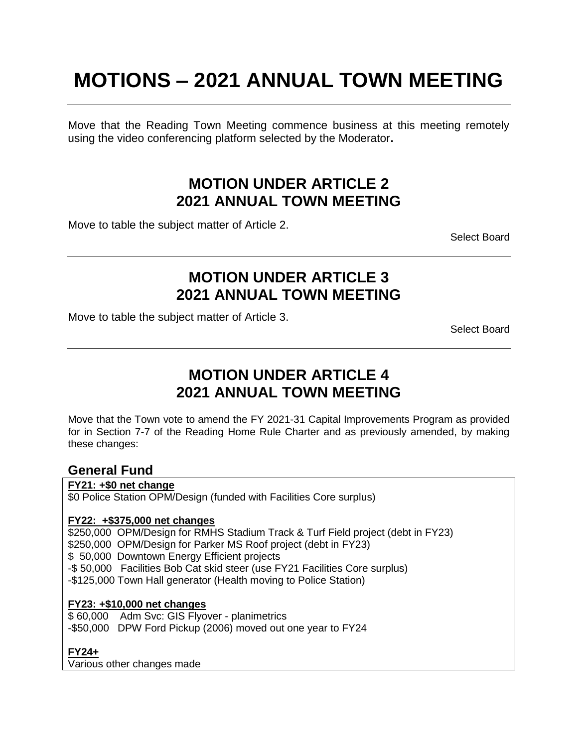# **MOTIONS – 2021 ANNUAL TOWN MEETING**

Move that the Reading Town Meeting commence business at this meeting remotely using the video conferencing platform selected by the Moderator**.**

### **MOTION UNDER ARTICLE 2 2021 ANNUAL TOWN MEETING**

Move to table the subject matter of Article 2.

Select Board

### **MOTION UNDER ARTICLE 3 2021 ANNUAL TOWN MEETING**

Move to table the subject matter of Article 3.

Select Board

# **MOTION UNDER ARTICLE 4 2021 ANNUAL TOWN MEETING**

Move that the Town vote to amend the FY 2021-31 Capital Improvements Program as provided for in Section 7-7 of the Reading Home Rule Charter and as previously amended, by making these changes:

### **General Fund**

#### **FY21: +\$0 net change**

\$0 Police Station OPM/Design (funded with Facilities Core surplus)

#### **FY22: +\$375,000 net changes**

\$250,000 OPM/Design for RMHS Stadium Track & Turf Field project (debt in FY23) \$250,000 OPM/Design for Parker MS Roof project (debt in FY23) \$ 50,000 Downtown Energy Efficient projects -\$ 50,000 Facilities Bob Cat skid steer (use FY21 Facilities Core surplus) -\$125,000 Town Hall generator (Health moving to Police Station)

#### **FY23: +\$10,000 net changes**

\$ 60,000 Adm Svc: GIS Flyover - planimetrics -\$50,000 DPW Ford Pickup (2006) moved out one year to FY24

### **FY24+**

Various other changes made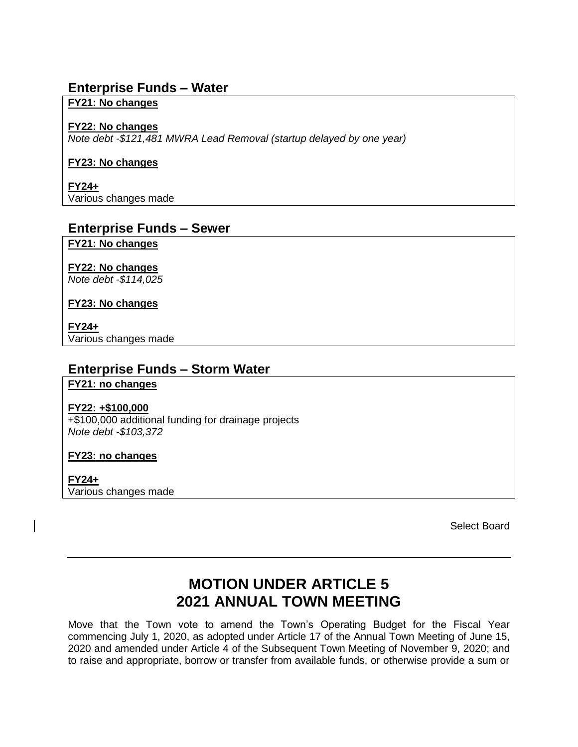### **Enterprise Funds – Water**

#### **FY21: No changes**

#### **FY22: No changes**

*Note debt -\$121,481 MWRA Lead Removal (startup delayed by one year)*

#### **FY23: No changes**

**FY24+** Various changes made

### **Enterprise Funds – Sewer**

**FY21: No changes**

**FY22: No changes** *Note debt -\$114,025*

**FY23: No changes**

**FY24+** Various changes made

### **Enterprise Funds – Storm Water**

**FY21: no changes**

#### **FY22: +\$100,000**

+\$100,000 additional funding for drainage projects *Note debt -\$103,372*

#### **FY23: no changes**

**FY24+** Various changes made

Select Board

# **MOTION UNDER ARTICLE 5 2021 ANNUAL TOWN MEETING**

Move that the Town vote to amend the Town's Operating Budget for the Fiscal Year commencing July 1, 2020, as adopted under Article 17 of the Annual Town Meeting of June 15, 2020 and amended under Article 4 of the Subsequent Town Meeting of November 9, 2020; and to raise and appropriate, borrow or transfer from available funds, or otherwise provide a sum or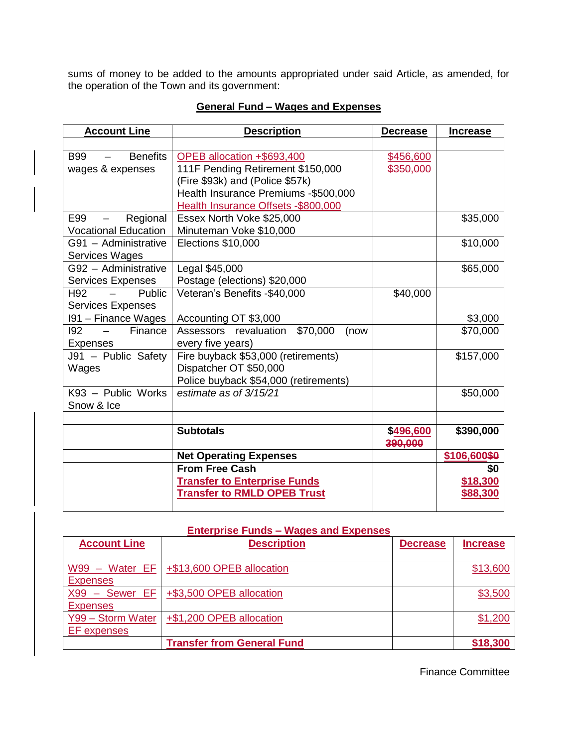sums of money to be added to the amounts appropriated under said Article, as amended, for the operation of the Town and its government:

| <b>Account Line</b>                                       | <b>Description</b>                     | <b>Decrease</b> | <b>Increase</b> |
|-----------------------------------------------------------|----------------------------------------|-----------------|-----------------|
|                                                           |                                        |                 |                 |
| <b>Benefits</b><br><b>B99</b><br><b>Contract Contract</b> | OPEB allocation +\$693,400             | \$456,600       |                 |
| wages & expenses                                          | 111F Pending Retirement \$150,000      | \$350,000       |                 |
|                                                           | (Fire \$93k) and (Police \$57k)        |                 |                 |
|                                                           | Health Insurance Premiums - \$500,000  |                 |                 |
|                                                           | Health Insurance Offsets - \$800,000   |                 |                 |
| Regional<br>E99                                           | Essex North Voke \$25,000              |                 | \$35,000        |
| <b>Vocational Education</b>                               | Minuteman Voke \$10,000                |                 |                 |
| G91 - Administrative                                      | Elections \$10,000                     |                 | \$10,000        |
| <b>Services Wages</b>                                     |                                        |                 |                 |
| G92 - Administrative                                      | Legal \$45,000                         |                 | \$65,000        |
| <b>Services Expenses</b>                                  | Postage (elections) \$20,000           |                 |                 |
| H <sub>92</sub><br>Public                                 | Veteran's Benefits -\$40,000           | \$40,000        |                 |
| <b>Services Expenses</b>                                  |                                        |                 |                 |
| 191 – Finance Wages                                       | Accounting OT \$3,000                  |                 | \$3,000         |
| 192<br>Finance<br>$\frac{1}{2}$ and $\frac{1}{2}$         | Assessors revaluation \$70,000<br>(now |                 | \$70,000        |
| <b>Expenses</b>                                           | every five years)                      |                 |                 |
| J91 - Public Safety                                       | Fire buyback \$53,000 (retirements)    |                 | \$157,000       |
| Wages                                                     | Dispatcher OT \$50,000                 |                 |                 |
|                                                           | Police buyback \$54,000 (retirements)  |                 |                 |
| $K93$ – Public Works                                      | estimate as of 3/15/21                 |                 | \$50,000        |
| Snow & Ice                                                |                                        |                 |                 |
|                                                           |                                        |                 |                 |
|                                                           | <b>Subtotals</b>                       | \$496,600       | \$390,000       |
|                                                           |                                        | 390,000         |                 |
|                                                           | <b>Net Operating Expenses</b>          |                 | \$106,600\$0    |
|                                                           | <b>From Free Cash</b>                  |                 | \$0             |
|                                                           | <b>Transfer to Enterprise Funds</b>    |                 | \$18,300        |
|                                                           | <b>Transfer to RMLD OPEB Trust</b>     |                 | <u>\$88,300</u> |
|                                                           |                                        |                 |                 |

### **General Fund – Wages and Expenses**

#### **Enterprise Funds – Wages and Expenses**

| <b>Account Line</b> | <b>Description</b>                | <b>Decrease</b> | <b>Increase</b> |
|---------------------|-----------------------------------|-----------------|-----------------|
|                     |                                   |                 |                 |
| $W99 - Water EF$    | +\$13,600 OPEB allocation         |                 | \$13,600        |
| <b>Expenses</b>     |                                   |                 |                 |
| $X99 -$ Sewer EF    | +\$3,500 OPEB allocation          |                 | \$3,500         |
| <b>Expenses</b>     |                                   |                 |                 |
| Y99 - Storm Water   | +\$1,200 OPEB allocation          |                 | \$1,200         |
| EF expenses         |                                   |                 |                 |
|                     | <b>Transfer from General Fund</b> |                 | \$18,300        |

Finance Committee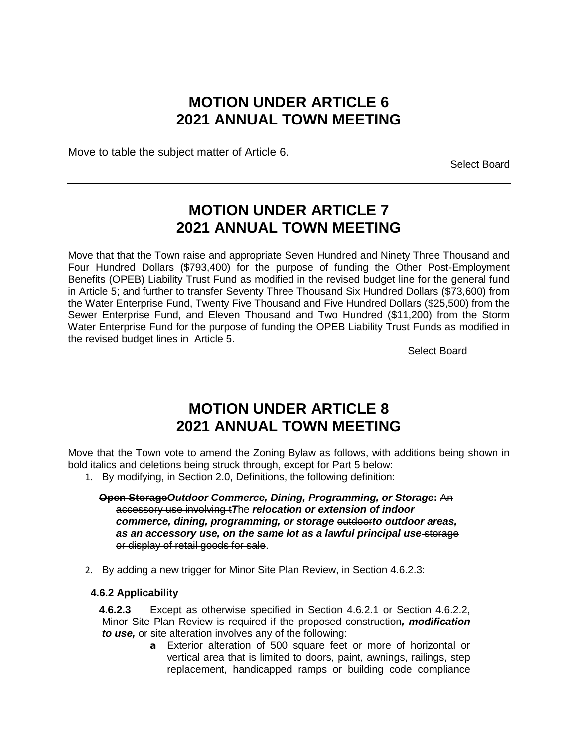### **MOTION UNDER ARTICLE 6 2021 ANNUAL TOWN MEETING**

Move to table the subject matter of Article 6.

Select Board

### **MOTION UNDER ARTICLE 7 2021 ANNUAL TOWN MEETING**

Move that that the Town raise and appropriate Seven Hundred and Ninety Three Thousand and Four Hundred Dollars (\$793,400) for the purpose of funding the Other Post-Employment Benefits (OPEB) Liability Trust Fund as modified in the revised budget line for the general fund in Article 5; and further to transfer Seventy Three Thousand Six Hundred Dollars (\$73,600) from the Water Enterprise Fund, Twenty Five Thousand and Five Hundred Dollars (\$25,500) from the Sewer Enterprise Fund, and Eleven Thousand and Two Hundred (\$11,200) from the Storm Water Enterprise Fund for the purpose of funding the OPEB Liability Trust Funds as modified in the revised budget lines in Article 5.

Select Board

### **MOTION UNDER ARTICLE 8 2021 ANNUAL TOWN MEETING**

Move that the Town vote to amend the Zoning Bylaw as follows, with additions being shown in bold italics and deletions being struck through, except for Part 5 below:

- 1. By modifying, in Section 2.0, Definitions, the following definition:
	- **Open Storage***Outdoor Commerce, Dining, Programming, or Storage***:** An accessory use involving t*T*he *relocation or extension of indoor commerce, dining, programming, or storage*  $\Theta$ utdoor*to outdoor areas, as an accessory use, on the same lot as a lawful principal use* storage or display of retail goods for sale.
- 2. By adding a new trigger for Minor Site Plan Review, in Section 4.6.2.3:

#### **4.6.2 Applicability**

**4.6.2.3** Except as otherwise specified in Section 4.6.2.1 or Section 4.6.2.2, Minor Site Plan Review is required if the proposed construction*, modification to use,* or site alteration involves any of the following:

**a** Exterior alteration of 500 square feet or more of horizontal or vertical area that is limited to doors, paint, awnings, railings, step replacement, handicapped ramps or building code compliance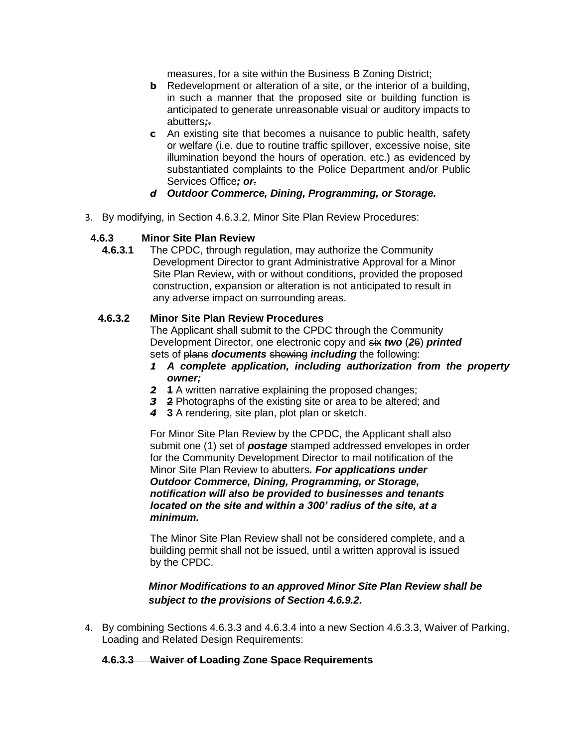measures, for a site within the Business B Zoning District;

- **b** Redevelopment or alteration of a site, or the interior of a building, in such a manner that the proposed site or building function is anticipated to generate unreasonable visual or auditory impacts to abutters*;*.
- **c** An existing site that becomes a nuisance to public health, safety or welfare (i.e. due to routine traffic spillover, excessive noise, site illumination beyond the hours of operation, etc.) as evidenced by substantiated complaints to the Police Department and/or Public Services Office*; or*.
- *d Outdoor Commerce, Dining, Programming, or Storage.*
- 3. By modifying, in Section 4.6.3.2, Minor Site Plan Review Procedures:

#### **4.6.3 Minor Site Plan Review**

**4.6.3.1** The CPDC, through regulation, may authorize the Community Development Director to grant Administrative Approval for a Minor Site Plan Review**,** with or without conditions**,** provided the proposed construction, expansion or alteration is not anticipated to result in any adverse impact on surrounding areas.

#### **4.6.3.2 Minor Site Plan Review Procedures**

The Applicant shall submit to the CPDC through the Community Development Director, one electronic copy and six *two* (*2*6) *printed* sets of plans *documents* showing *including* the following:

- *1 A complete application, including authorization from the property owner;*
- *2* **1** A written narrative explaining the proposed changes;
- *3* **2** Photographs of the existing site or area to be altered; and
- *4* **3** A rendering, site plan, plot plan or sketch.

For Minor Site Plan Review by the CPDC, the Applicant shall also submit one (1) set of *postage* stamped addressed envelopes in order for the Community Development Director to mail notification of the Minor Site Plan Review to abutters*. For applications under Outdoor Commerce, Dining, Programming, or Storage, notification will also be provided to businesses and tenants located on the site and within a 300' radius of the site, at a minimum.*

The Minor Site Plan Review shall not be considered complete, and a building permit shall not be issued, until a written approval is issued by the CPDC.

#### *Minor Modifications to an approved Minor Site Plan Review shall be subject to the provisions of Section 4.6.9.2.*

4. By combining Sections 4.6.3.3 and 4.6.3.4 into a new Section 4.6.3.3, Waiver of Parking, Loading and Related Design Requirements:

#### **4.6.3.3 Waiver of Loading Zone Space Requirements**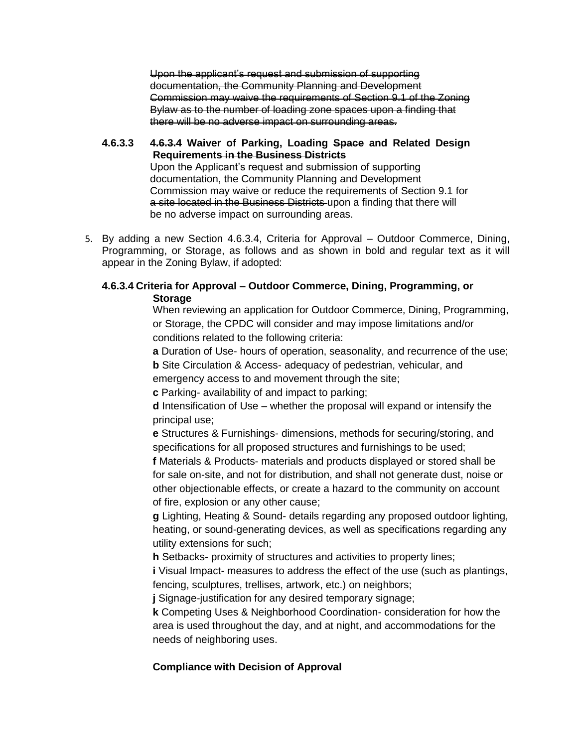Upon the applicant's request and submission of supporting documentation, the Community Planning and Development Commission may waive the requirements of Section 9.1 of the Zoning Bylaw as to the number of loading zone spaces upon a finding that there will be no adverse impact on surrounding areas.

**4.6.3.3 4.6.3.4 Waiver of Parking, Loading Space and Related Design Requirements in the Business Districts**

Upon the Applicant's request and submission of supporting documentation, the Community Planning and Development Commission may waive or reduce the requirements of Section 9.1 for a site located in the Business Districts upon a finding that there will be no adverse impact on surrounding areas.

5. By adding a new Section 4.6.3.4, Criteria for Approval – Outdoor Commerce, Dining, Programming, or Storage, as follows and as shown in bold and regular text as it will appear in the Zoning Bylaw, if adopted:

#### **4.6.3.4 Criteria for Approval – Outdoor Commerce, Dining, Programming, or Storage**

When reviewing an application for Outdoor Commerce, Dining, Programming, or Storage, the CPDC will consider and may impose limitations and/or conditions related to the following criteria:

**a** Duration of Use- hours of operation, seasonality, and recurrence of the use;

**b** Site Circulation & Access- adequacy of pedestrian, vehicular, and emergency access to and movement through the site;

**c** Parking- availability of and impact to parking;

**d** Intensification of Use – whether the proposal will expand or intensify the principal use;

**e** Structures & Furnishings- dimensions, methods for securing/storing, and specifications for all proposed structures and furnishings to be used;

**f** Materials & Products- materials and products displayed or stored shall be for sale on-site, and not for distribution, and shall not generate dust, noise or other objectionable effects, or create a hazard to the community on account of fire, explosion or any other cause;

**g** Lighting, Heating & Sound- details regarding any proposed outdoor lighting, heating, or sound-generating devices, as well as specifications regarding any utility extensions for such;

**h** Setbacks- proximity of structures and activities to property lines;

**i** Visual Impact- measures to address the effect of the use (such as plantings, fencing, sculptures, trellises, artwork, etc.) on neighbors;

**j** Signage-justification for any desired temporary signage;

**k** Competing Uses & Neighborhood Coordination- consideration for how the area is used throughout the day, and at night, and accommodations for the needs of neighboring uses.

#### **Compliance with Decision of Approval**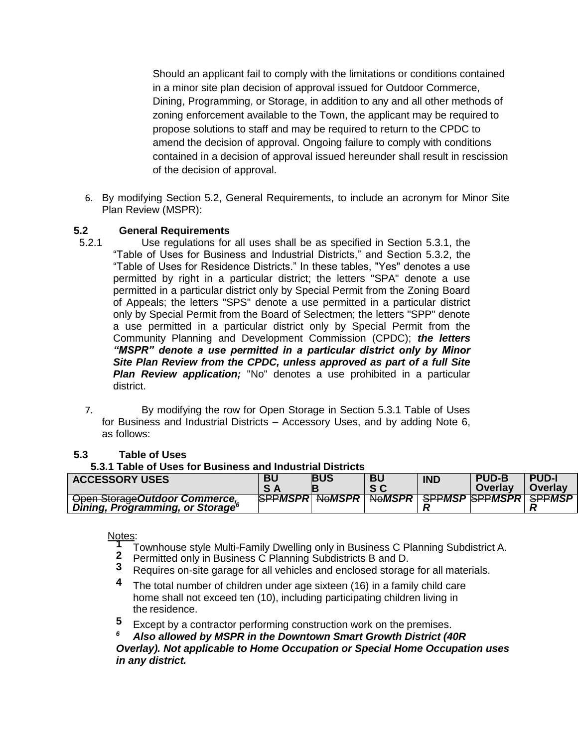Should an applicant fail to comply with the limitations or conditions contained in a minor site plan decision of approval issued for Outdoor Commerce, Dining, Programming, or Storage, in addition to any and all other methods of zoning enforcement available to the Town, the applicant may be required to propose solutions to staff and may be required to return to the CPDC to amend the decision of approval. Ongoing failure to comply with conditions contained in a decision of approval issued hereunder shall result in rescission of the decision of approval.

6. By modifying Section 5.2, General Requirements, to include an acronym for Minor Site Plan Review (MSPR):

#### **5.2 General Requirements**

- 5.2.1 Use regulations for all uses shall be as specified in Section 5.3.1, the "Table of Uses for Business and Industrial Districts," and Section 5.3.2, the "Table of Uses for Residence Districts." In these tables, "Yes" denotes a use permitted by right in a particular district; the letters "SPA" denote a use permitted in a particular district only by Special Permit from the Zoning Board of Appeals; the letters "SPS" denote a use permitted in a particular district only by Special Permit from the Board of Selectmen; the letters "SPP" denote a use permitted in a particular district only by Special Permit from the Community Planning and Development Commission (CPDC); *the letters "MSPR" denote a use permitted in a particular district only by Minor Site Plan Review from the CPDC, unless approved as part of a full Site Plan Review application;* "No" denotes a use prohibited in a particular district.
	- 7. By modifying the row for Open Storage in Section 5.3.1 Table of Uses for Business and Industrial Districts – Accessory Uses, and by adding Note 6, as follows:

#### **5.3 Table of Uses**

**5.3.1 Table of Uses for Business and Industrial Districts**

| <b>ACCESSORY USES</b>                                                          | BU              | <b>BUS</b> | <b>BU</b> | <b>IND</b> | <b>PUD-B</b><br>Overlay                             | <b>PUD-I</b><br>Overlay |
|--------------------------------------------------------------------------------|-----------------|------------|-----------|------------|-----------------------------------------------------|-------------------------|
| Open Storage Outdoor Commerce,<br>Dining, Programming, or Storage <sup>6</sup> | <b>SPPMSPRI</b> |            |           |            | <u> Nomspr   Nomspr   Sppmsp   Sppmspr   Sppmsp</u> |                         |

Notes:

- **1** Townhouse style Multi-Family Dwelling only in Business C Planning Subdistrict A.
- **2** Permitted only in Business C Planning Subdistricts B and D.
- **3** Requires on-site garage for all vehicles and enclosed storage for all materials.
- **4** The total number of children under age sixteen (16) in a family child care home shall not exceed ten (10), including participating children living in the residence.
- **5** Except by a contractor performing construction work on the premises.

*<sup>6</sup> Also allowed by MSPR in the Downtown Smart Growth District (40R Overlay). Not applicable to Home Occupation or Special Home Occupation uses* 

*in any district.*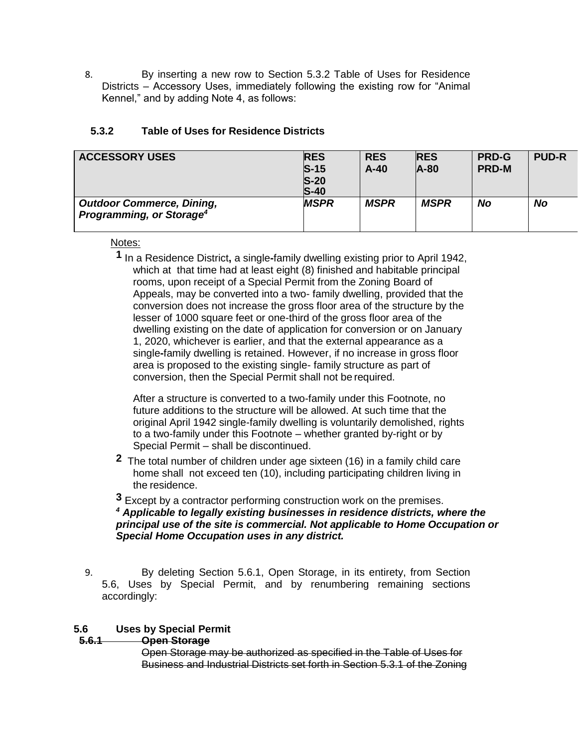8. By inserting a new row to Section 5.3.2 Table of Uses for Residence Districts – Accessory Uses, immediately following the existing row for "Animal Kennel," and by adding Note 4, as follows:

#### **5.3.2 Table of Uses for Residence Districts**

| <b>ACCESSORY USES</b>                                                    | <b>RES</b><br>$S-15$<br>$S-20$<br>$S-40$ | <b>RES</b><br>$A-40$ | <b>RES</b><br>$A-80$ | <b>PRD-G</b><br><b>PRD-M</b> | <b>PUD-R</b> |
|--------------------------------------------------------------------------|------------------------------------------|----------------------|----------------------|------------------------------|--------------|
| <b>Outdoor Commerce, Dining,</b><br>Programming, or Storage <sup>4</sup> | <b>MSPR</b>                              | <b>MSPR</b>          | <b>MSPR</b>          | No                           | No           |

#### Notes:

**1** In a Residence District**,** a single**-**family dwelling existing prior to April 1942, which at that time had at least eight (8) finished and habitable principal rooms, upon receipt of a Special Permit from the Zoning Board of Appeals, may be converted into a two- family dwelling, provided that the conversion does not increase the gross floor area of the structure by the lesser of 1000 square feet or one-third of the gross floor area of the dwelling existing on the date of application for conversion or on January 1, 2020, whichever is earlier, and that the external appearance as a single**-**family dwelling is retained. However, if no increase in gross floor area is proposed to the existing single- family structure as part of conversion, then the Special Permit shall not be required.

After a structure is converted to a two-family under this Footnote, no future additions to the structure will be allowed. At such time that the original April 1942 single-family dwelling is voluntarily demolished, rights to a two-family under this Footnote – whether granted by-right or by Special Permit – shall be discontinued.

**2** The total number of children under age sixteen (16) in a family child care home shall not exceed ten (10), including participating children living in the residence.

**3** Except by a contractor performing construction work on the premises. *<sup>4</sup> Applicable to legally existing businesses in residence districts, where the principal use of the site is commercial. Not applicable to Home Occupation or Special Home Occupation uses in any district.* 

9. By deleting Section 5.6.1, Open Storage, in its entirety, from Section 5.6, Uses by Special Permit, and by renumbering remaining sections accordingly:

#### **5.6 Uses by Special Permit**

#### **5.6.1 Open Storage**

Open Storage may be authorized as specified in the Table of Uses for Business and Industrial Districts set forth in Section 5.3.1 of the Zoning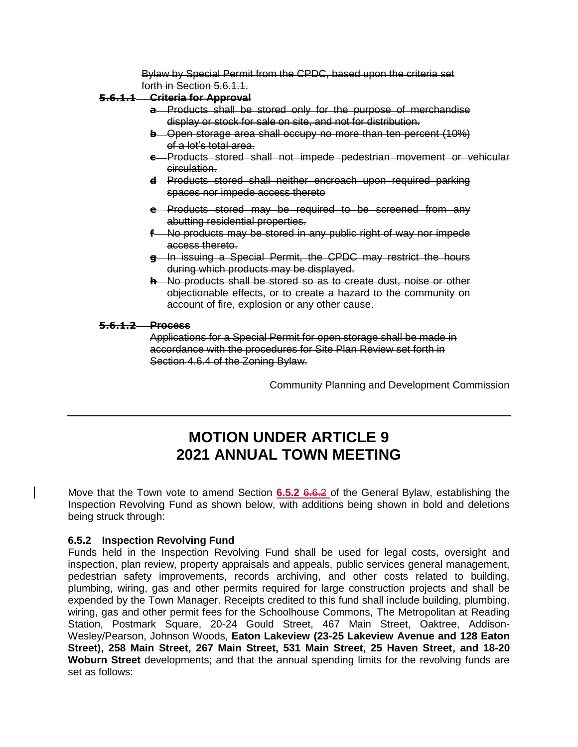Bylaw by Special Permit from the CPDC, based upon the criteria set forth in Section 5.6.1.1.

#### **5.6.1.1 Criteria for Approval**

- **a** Products shall be stored only for the purpose of merchandise display or stock for sale on site, and not for distribution.
- **b** Open storage area shall occupy no more than ten percent (10%) of a lot's total area.
- **c** Products stored shall not impede pedestrian movement or vehicular circulation.
- **d** Products stored shall neither encroach upon required parking spaces nor impede access thereto
- **e** Products stored may be required to be screened from any abutting residential properties.
- **f** No products may be stored in any public right of way nor impede access thereto.
- **g** In issuing a Special Permit, the CPDC may restrict the hours during which products may be displayed.
- **h** No products shall be stored so as to create dust, noise or other objectionable effects, or to create a hazard to the community on account of fire, explosion or any other cause.

#### **5.6.1.2 Process**

Applications for a Special Permit for open storage shall be made in accordance with the procedures for Site Plan Review set forth in Section 4.6.4 of the Zoning Bylaw.

Community Planning and Development Commission

# **MOTION UNDER ARTICLE 9 2021 ANNUAL TOWN MEETING**

Move that the Town vote to amend Section **6.5.2** 6.6.2 of the General Bylaw, establishing the Inspection Revolving Fund as shown below, with additions being shown in bold and deletions being struck through:

#### **6.5.2 Inspection Revolving Fund**

Funds held in the Inspection Revolving Fund shall be used for legal costs, oversight and inspection, plan review, property appraisals and appeals, public services general management, pedestrian safety improvements, records archiving, and other costs related to building, plumbing, wiring, gas and other permits required for large construction projects and shall be expended by the Town Manager. Receipts credited to this fund shall include building, plumbing, wiring, gas and other permit fees for the Schoolhouse Commons, The Metropolitan at Reading Station, Postmark Square, 20-24 Gould Street, 467 Main Street, Oaktree, Addison-Wesley/Pearson, Johnson Woods, **Eaton Lakeview (23-25 Lakeview Avenue and 128 Eaton Street), 258 Main Street, 267 Main Street, 531 Main Street, 25 Haven Street, and 18-20 Woburn Street** developments; and that the annual spending limits for the revolving funds are set as follows: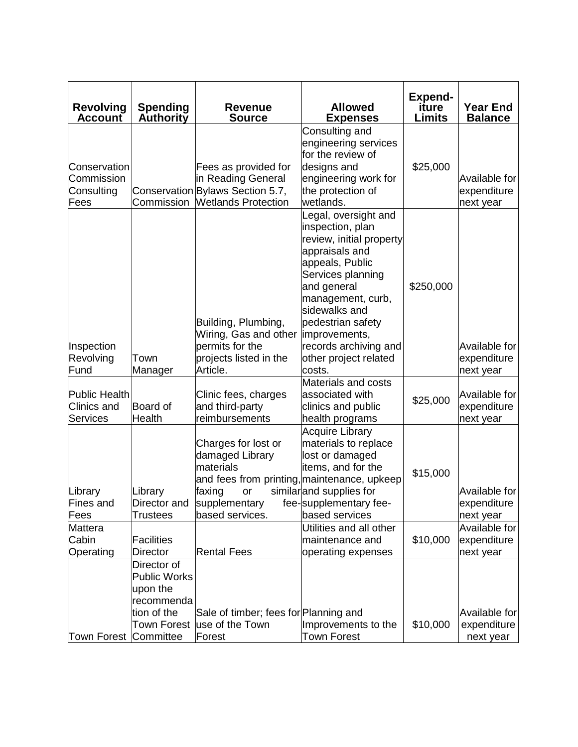| <b>Revolving</b><br><b>Account</b>               | <b>Spending</b><br>Authority                                                                      | <b>Revenue</b><br><b>Source</b>                                                                                                                        | <b>Allowed</b><br><b>Expenses</b>                                                                                                                                                                                                                                                     | <b>Expend-</b><br>iture<br>Limits | <b>Year End</b><br><b>Balance</b>         |
|--------------------------------------------------|---------------------------------------------------------------------------------------------------|--------------------------------------------------------------------------------------------------------------------------------------------------------|---------------------------------------------------------------------------------------------------------------------------------------------------------------------------------------------------------------------------------------------------------------------------------------|-----------------------------------|-------------------------------------------|
| Conservation<br>Commission<br>Consulting<br>Fees |                                                                                                   | Fees as provided for<br>in Reading General<br>Conservation Bylaws Section 5.7,<br>Commission   Wetlands Protection                                     | Consulting and<br>engineering services<br>for the review of<br>designs and<br>engineering work for<br>the protection of<br>wetlands.                                                                                                                                                  | \$25,000                          | Available for<br>expenditure<br>next year |
| Inspection<br>Revolving<br>Fund                  | Town<br>Manager                                                                                   | Building, Plumbing,<br>Wiring, Gas and other<br>permits for the<br>projects listed in the<br>Article.                                                  | Legal, oversight and<br>inspection, plan<br>review, initial property<br>appraisals and<br>appeals, Public<br>Services planning<br>and general<br>management, curb,<br>sidewalks and<br>pedestrian safety<br>improvements,<br>records archiving and<br>other project related<br>costs. | \$250,000                         | Available for<br>expenditure<br>next year |
| Public Health<br><b>Clinics and</b><br>Services  | Board of<br><b>Health</b>                                                                         | Clinic fees, charges<br>and third-party<br>reimbursements                                                                                              | Materials and costs<br>associated with<br>clinics and public<br>health programs                                                                                                                                                                                                       | \$25,000                          | Available for<br>expenditure<br>next year |
| Library<br>Fines and<br>Fees                     | Library<br>Director and<br>Trustees                                                               | Charges for lost or<br>damaged Library<br>materials<br>and fees from printing, maintenance, upkeep<br>faxing<br>or<br>supplementary<br>based services. | <b>Acquire Library</b><br>materials to replace<br>lost or damaged<br>items, and for the<br>similarand supplies for<br>fee-supplementary fee-<br>based services                                                                                                                        | \$15,000                          | Available for<br>expenditure<br>next year |
| Mattera<br>Cabin<br>Operating                    | <b>Facilities</b><br><b>Director</b>                                                              | <b>Rental Fees</b>                                                                                                                                     | Utilities and all other<br>maintenance and<br>operating expenses                                                                                                                                                                                                                      | \$10,000                          | Available for<br>expenditure<br>next year |
| Town Forest Committee                            | Director of<br><b>Public Works</b><br>upon the<br>recommenda<br>tion of the<br><b>Town Forest</b> | Sale of timber; fees for Planning and<br>use of the Town<br>Forest                                                                                     | Improvements to the<br>Town Forest                                                                                                                                                                                                                                                    | \$10,000                          | Available for<br>expenditure<br>next year |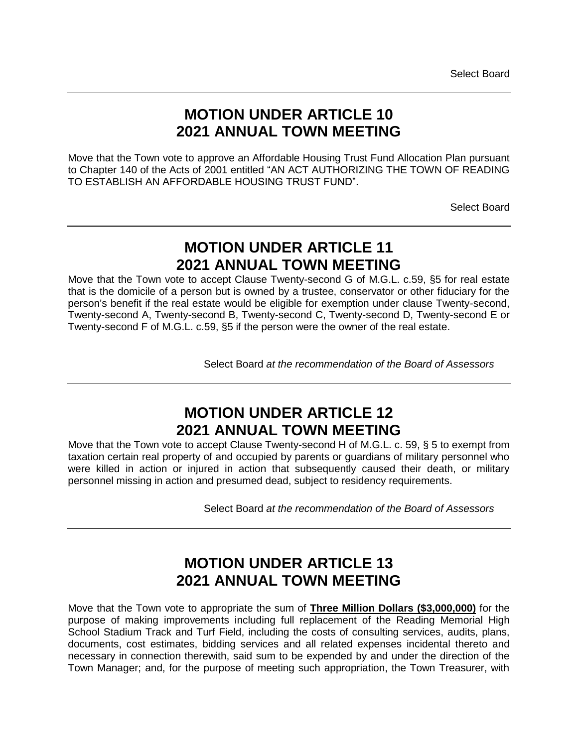### **MOTION UNDER ARTICLE 10 2021 ANNUAL TOWN MEETING**

Move that the Town vote to approve an Affordable Housing Trust Fund Allocation Plan pursuant to Chapter 140 of the Acts of 2001 entitled "AN ACT AUTHORIZING THE TOWN OF READING TO ESTABLISH AN AFFORDABLE HOUSING TRUST FUND".

Select Board

# **MOTION UNDER ARTICLE 11 2021 ANNUAL TOWN MEETING**

Move that the Town vote to accept Clause Twenty-second G of M.G.L. c.59, §5 for real estate that is the domicile of a person but is owned by a trustee, conservator or other fiduciary for the person's benefit if the real estate would be eligible for exemption under clause Twenty-second, Twenty-second A, Twenty-second B, Twenty-second C, Twenty-second D, Twenty-second E or Twenty-second F of M.G.L. c.59, §5 if the person were the owner of the real estate.

Select Board *at the recommendation of the Board of Assessors* 

# **MOTION UNDER ARTICLE 12 2021 ANNUAL TOWN MEETING**

Move that the Town vote to accept Clause Twenty-second H of M.G.L. c. 59, § 5 to exempt from taxation certain real property of and occupied by parents or guardians of military personnel who were killed in action or injured in action that subsequently caused their death, or military personnel missing in action and presumed dead, subject to residency requirements.

Select Board *at the recommendation of the Board of Assessors* 

### **MOTION UNDER ARTICLE 13 2021 ANNUAL TOWN MEETING**

Move that the Town vote to appropriate the sum of **Three Million Dollars (\$3,000,000)** for the purpose of making improvements including full replacement of the Reading Memorial High School Stadium Track and Turf Field, including the costs of consulting services, audits, plans, documents, cost estimates, bidding services and all related expenses incidental thereto and necessary in connection therewith, said sum to be expended by and under the direction of the Town Manager; and, for the purpose of meeting such appropriation, the Town Treasurer, with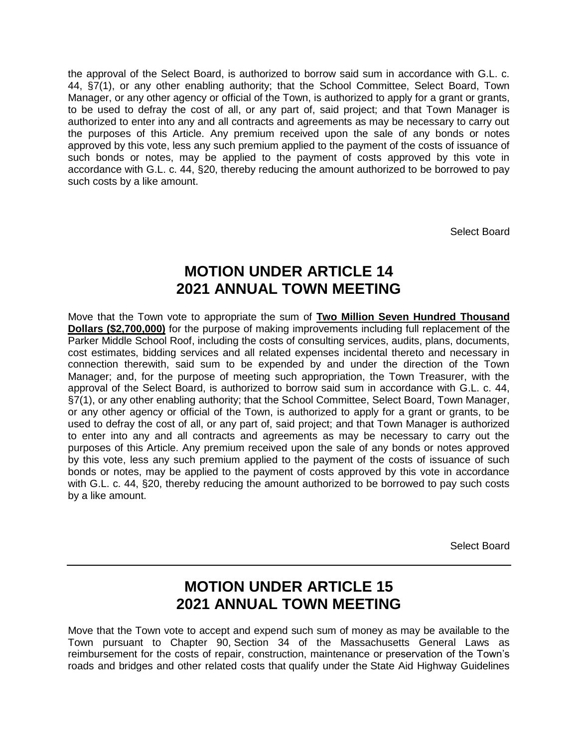the approval of the Select Board, is authorized to borrow said sum in accordance with G.L. c. 44, §7(1), or any other enabling authority; that the School Committee, Select Board, Town Manager, or any other agency or official of the Town, is authorized to apply for a grant or grants, to be used to defray the cost of all, or any part of, said project; and that Town Manager is authorized to enter into any and all contracts and agreements as may be necessary to carry out the purposes of this Article. Any premium received upon the sale of any bonds or notes approved by this vote, less any such premium applied to the payment of the costs of issuance of such bonds or notes, may be applied to the payment of costs approved by this vote in accordance with G.L. c. 44, §20, thereby reducing the amount authorized to be borrowed to pay such costs by a like amount.

Select Board

### **MOTION UNDER ARTICLE 14 2021 ANNUAL TOWN MEETING**

Move that the Town vote to appropriate the sum of **Two Million Seven Hundred Thousand Dollars (\$2,700,000)** for the purpose of making improvements including full replacement of the Parker Middle School Roof, including the costs of consulting services, audits, plans, documents, cost estimates, bidding services and all related expenses incidental thereto and necessary in connection therewith, said sum to be expended by and under the direction of the Town Manager; and, for the purpose of meeting such appropriation, the Town Treasurer, with the approval of the Select Board, is authorized to borrow said sum in accordance with G.L. c. 44, §7(1), or any other enabling authority; that the School Committee, Select Board, Town Manager, or any other agency or official of the Town, is authorized to apply for a grant or grants, to be used to defray the cost of all, or any part of, said project; and that Town Manager is authorized to enter into any and all contracts and agreements as may be necessary to carry out the purposes of this Article. Any premium received upon the sale of any bonds or notes approved by this vote, less any such premium applied to the payment of the costs of issuance of such bonds or notes, may be applied to the payment of costs approved by this vote in accordance with G.L. c. 44, §20, thereby reducing the amount authorized to be borrowed to pay such costs by a like amount.

Select Board

### **MOTION UNDER ARTICLE 15 2021 ANNUAL TOWN MEETING**

Move that the Town vote to accept and expend such sum of money as may be available to the Town pursuant to Chapter 90, Section 34 of the Massachusetts General Laws as reimbursement for the costs of repair, construction, maintenance or preservation of the Town's roads and bridges and other related costs that qualify under the State Aid Highway Guidelines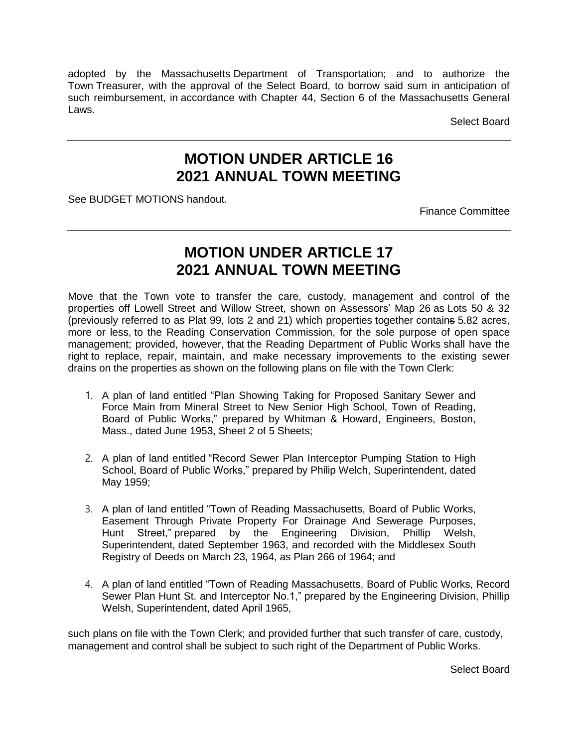adopted by the Massachusetts Department of Transportation; and to authorize the Town Treasurer, with the approval of the Select Board, to borrow said sum in anticipation of such reimbursement, in accordance with Chapter 44, Section 6 of the Massachusetts General Laws.

Select Board

### **MOTION UNDER ARTICLE 16 2021 ANNUAL TOWN MEETING**

See BUDGET MOTIONS handout.

Finance Committee

### **MOTION UNDER ARTICLE 17 2021 ANNUAL TOWN MEETING**

Move that the Town vote to transfer the care, custody, management and control of the properties off Lowell Street and Willow Street, shown on Assessors' Map 26 as Lots 50 & 32 (previously referred to as Plat 99, lots 2 and 21) which properties together contains 5.82 acres, more or less, to the Reading Conservation Commission, for the sole purpose of open space management; provided, however, that the Reading Department of Public Works shall have the right to replace, repair, maintain, and make necessary improvements to the existing sewer drains on the properties as shown on the following plans on file with the Town Clerk:

- 1. A plan of land entitled "Plan Showing Taking for Proposed Sanitary Sewer and Force Main from Mineral Street to New Senior High School, Town of Reading, Board of Public Works," prepared by Whitman & Howard, Engineers, Boston, Mass., dated June 1953, Sheet 2 of 5 Sheets;
- 2. A plan of land entitled "Record Sewer Plan Interceptor Pumping Station to High School, Board of Public Works," prepared by Philip Welch, Superintendent, dated May 1959;
- 3. A plan of land entitled "Town of Reading Massachusetts, Board of Public Works, Easement Through Private Property For Drainage And Sewerage Purposes, Hunt Street," prepared by the Engineering Division, Phillip Welsh, Superintendent, dated September 1963, and recorded with the Middlesex South Registry of Deeds on March 23, 1964, as Plan 266 of 1964; and
- 4. A plan of land entitled "Town of Reading Massachusetts, Board of Public Works, Record Sewer Plan Hunt St. and Interceptor No.1," prepared by the Engineering Division, Phillip Welsh, Superintendent, dated April 1965,

such plans on file with the Town Clerk; and provided further that such transfer of care, custody, management and control shall be subject to such right of the Department of Public Works.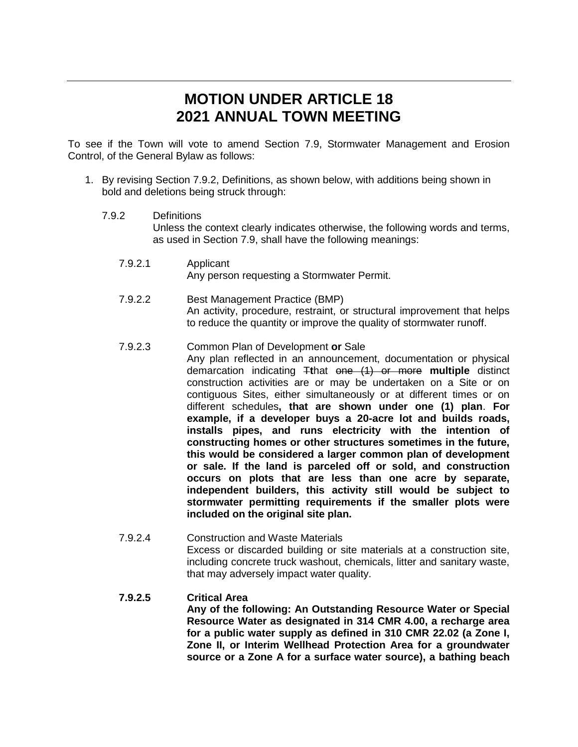### **MOTION UNDER ARTICLE 18 2021 ANNUAL TOWN MEETING**

To see if the Town will vote to amend Section 7.9, Stormwater Management and Erosion Control, of the General Bylaw as follows:

- 1. By revising Section 7.9.2, Definitions, as shown below, with additions being shown in bold and deletions being struck through:
	- 7.9.2 Definitions Unless the context clearly indicates otherwise, the following words and terms, as used in Section 7.9, shall have the following meanings:
		- 7.9.2.1 Applicant Any person requesting a Stormwater Permit.
		- 7.9.2.2 Best Management Practice (BMP) An activity, procedure, restraint, or structural improvement that helps to reduce the quantity or improve the quality of stormwater runoff.
		- 7.9.2.3 Common Plan of Development **or** Sale Any plan reflected in an announcement, documentation or physical demarcation indicating T**t**hat one (1) or more **multiple** distinct construction activities are or may be undertaken on a Site or on contiguous Sites, either simultaneously or at different times or on different schedules**, that are shown under one (1) plan**. **For example, if a developer buys a 20-acre lot and builds roads, installs pipes, and runs electricity with the intention of constructing homes or other structures sometimes in the future, this would be considered a larger common plan of development or sale. If the land is parceled off or sold, and construction occurs on plots that are less than one acre by separate, independent builders, this activity still would be subject to stormwater permitting requirements if the smaller plots were included on the original site plan.**
		- 7.9.2.4 Construction and Waste Materials Excess or discarded building or site materials at a construction site, including concrete truck washout, chemicals, litter and sanitary waste, that may adversely impact water quality.
		- **7.9.2.5 Critical Area Any of the following: An Outstanding Resource Water or Special Resource Water as designated in 314 CMR 4.00, a recharge area for a public water supply as defined in 310 CMR 22.02 (a Zone I, Zone II, or Interim Wellhead Protection Area for a groundwater source or a Zone A for a surface water source), a bathing beach**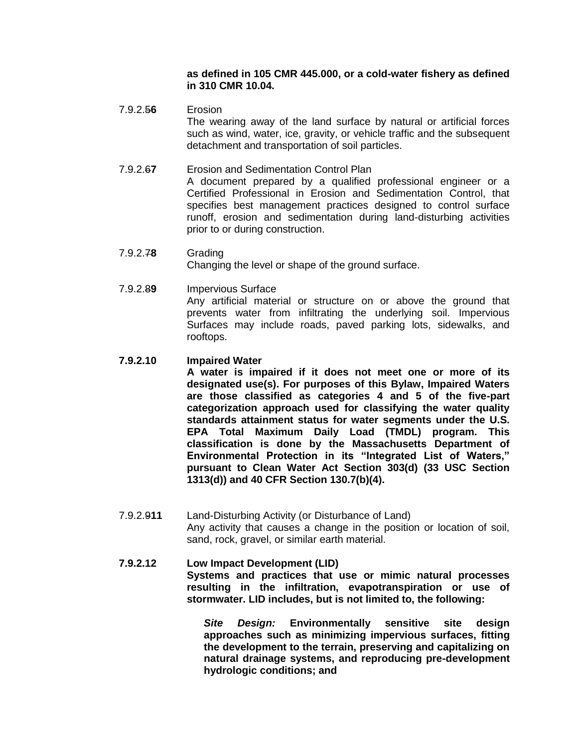#### **as defined in 105 CMR 445.000, or a cold-water fishery as defined in 310 CMR 10.04.**

7.9.2.5**6** Erosion The wearing away of the land surface by natural or artificial forces such as wind, water, ice, gravity, or vehicle traffic and the subsequent detachment and transportation of soil particles.

#### 7.9.2.6**7** Erosion and Sedimentation Control Plan

A document prepared by a qualified professional engineer or a Certified Professional in Erosion and Sedimentation Control, that specifies best management practices designed to control surface runoff, erosion and sedimentation during land-disturbing activities prior to or during construction.

- 7.9.2.7**8** Grading Changing the level or shape of the ground surface.
- 7.9.2.8**9** Impervious Surface Any artificial material or structure on or above the ground that prevents water from infiltrating the underlying soil. Impervious Surfaces may include roads, paved parking lots, sidewalks, and rooftops.

#### **7.9.2.10 Impaired Water**

**A water is impaired if it does not meet one or more of its designated use(s). For purposes of this Bylaw, Impaired Waters are those classified as categories 4 and 5 of the five-part categorization approach used for classifying the water quality standards attainment status for water segments under the U.S. EPA Total Maximum Daily Load (TMDL) program. This classification is done by the Massachusetts Department of Environmental Protection in its "Integrated List of Waters," pursuant to Clean Water Act Section 303(d) (33 USC Section 1313(d)) and 40 CFR Section 130.7(b)(4).**

7.9.2.9**11** Land-Disturbing Activity (or Disturbance of Land) Any activity that causes a change in the position or location of soil, sand, rock, gravel, or similar earth material.

#### **7.9.2.12 Low Impact Development (LID) Systems and practices that use or mimic natural processes resulting in the infiltration, evapotranspiration or use of stormwater. LID includes, but is not limited to, the following:**

*Site Design:* **Environmentally sensitive site design approaches such as minimizing impervious surfaces, fitting the development to the terrain, preserving and capitalizing on natural drainage systems, and reproducing pre-development hydrologic conditions; and**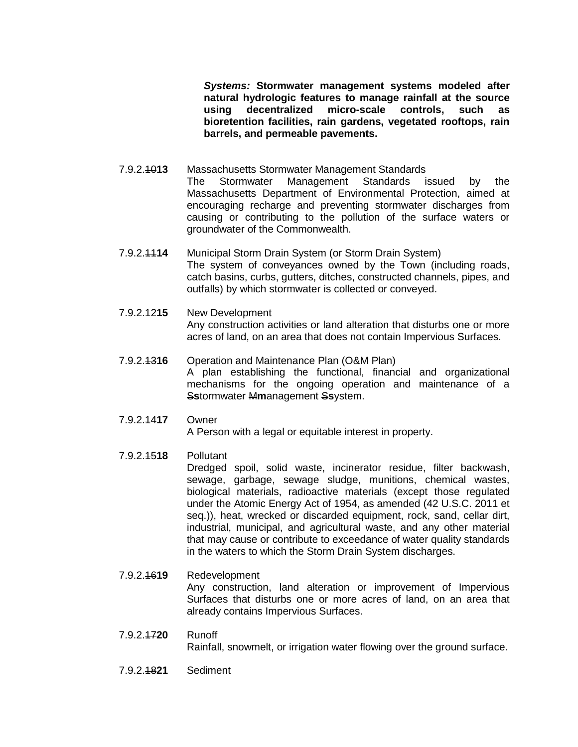*Systems:* **Stormwater management systems modeled after natural hydrologic features to manage rainfall at the source using decentralized micro-scale controls, such as bioretention facilities, rain gardens, vegetated rooftops, rain barrels, and permeable pavements.**

- 7.9.2.10**13** Massachusetts Stormwater Management Standards The Stormwater Management Standards issued by the Massachusetts Department of Environmental Protection, aimed at encouraging recharge and preventing stormwater discharges from causing or contributing to the pollution of the surface waters or groundwater of the Commonwealth.
- 7.9.2.11**14** Municipal Storm Drain System (or Storm Drain System) The system of conveyances owned by the Town (including roads, catch basins, curbs, gutters, ditches, constructed channels, pipes, and outfalls) by which stormwater is collected or conveyed.
- 7.9.2.12**15** New Development Any construction activities or land alteration that disturbs one or more acres of land, on an area that does not contain Impervious Surfaces.

#### 7.9.2.13**16** Operation and Maintenance Plan (O&M Plan) A plan establishing the functional, financial and organizational mechanisms for the ongoing operation and maintenance of a S**s**tormwater M**m**anagement S**s**ystem.

7.9.2.14**17** Owner

A Person with a legal or equitable interest in property.

7.9.2.15**18** Pollutant

Dredged spoil, solid waste, incinerator residue, filter backwash, sewage, garbage, sewage sludge, munitions, chemical wastes, biological materials, radioactive materials (except those regulated under the Atomic Energy Act of 1954, as amended (42 U.S.C. 2011 et seq.)), heat, wrecked or discarded equipment, rock, sand, cellar dirt, industrial, municipal, and agricultural waste, and any other material that may cause or contribute to exceedance of water quality standards in the waters to which the Storm Drain System discharges.

- 7.9.2.16**19** Redevelopment Any construction, land alteration or improvement of Impervious Surfaces that disturbs one or more acres of land, on an area that already contains Impervious Surfaces.
- 7.9.2.17**20** Runoff Rainfall, snowmelt, or irrigation water flowing over the ground surface.
- 7.9.2.18**21** Sediment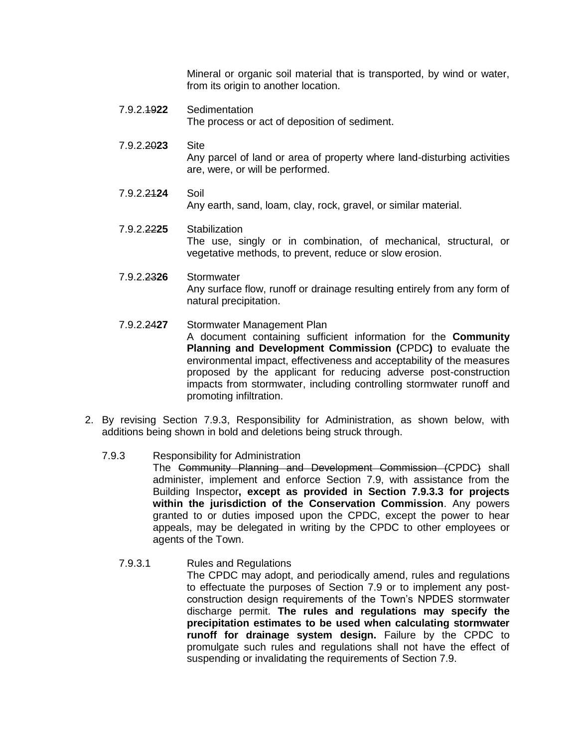Mineral or organic soil material that is transported, by wind or water, from its origin to another location.

- 7.9.2.19**22** Sedimentation The process or act of deposition of sediment.
- 7.9.2.20**23** Site Any parcel of land or area of property where land-disturbing activities are, were, or will be performed.
- 7.9.2.21**24** Soil Any earth, sand, loam, clay, rock, gravel, or similar material.
- 7.9.2.22**25** Stabilization The use, singly or in combination, of mechanical, structural, or vegetative methods, to prevent, reduce or slow erosion.
- 7.9.2.23**26** Stormwater Any surface flow, runoff or drainage resulting entirely from any form of natural precipitation.
- 7.9.2.24**27** Stormwater Management Plan A document containing sufficient information for the **Community Planning and Development Commission (**CPDC**)** to evaluate the environmental impact, effectiveness and acceptability of the measures proposed by the applicant for reducing adverse post-construction impacts from stormwater, including controlling stormwater runoff and promoting infiltration.
- 2. By revising Section 7.9.3, Responsibility for Administration, as shown below, with additions being shown in bold and deletions being struck through.
	- 7.9.3 Responsibility for Administration The Community Planning and Development Commission (CPDC) shall administer, implement and enforce Section 7.9, with assistance from the Building Inspector**, except as provided in Section 7.9.3.3 for projects within the jurisdiction of the Conservation Commission**. Any powers granted to or duties imposed upon the CPDC, except the power to hear appeals, may be delegated in writing by the CPDC to other employees or agents of the Town.
		- 7.9.3.1 Rules and Regulations The CPDC may adopt, and periodically amend, rules and regulations to effectuate the purposes of Section 7.9 or to implement any postconstruction design requirements of the Town's NPDES stormwater discharge permit. **The rules and regulations may specify the precipitation estimates to be used when calculating stormwater runoff for drainage system design.** Failure by the CPDC to promulgate such rules and regulations shall not have the effect of suspending or invalidating the requirements of Section 7.9.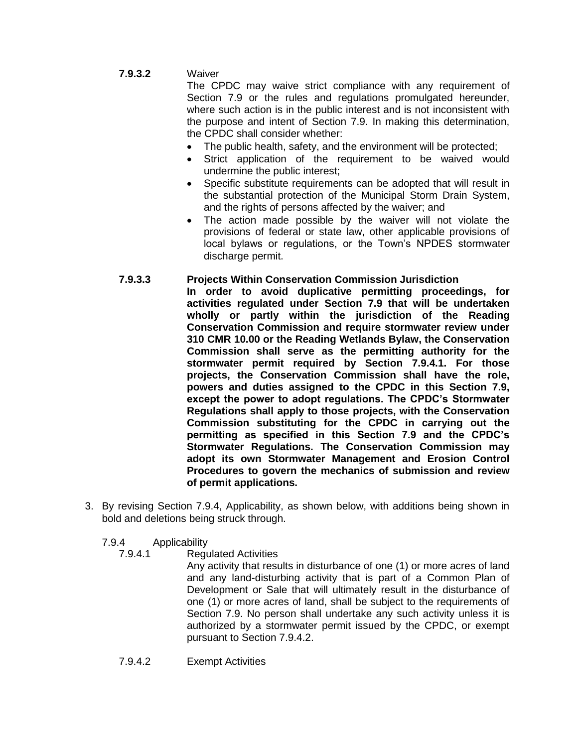#### **7.9.3.2** Waiver

The CPDC may waive strict compliance with any requirement of Section 7.9 or the rules and regulations promulgated hereunder, where such action is in the public interest and is not inconsistent with the purpose and intent of Section 7.9. In making this determination, the CPDC shall consider whether:

- The public health, safety, and the environment will be protected;
- Strict application of the requirement to be waived would undermine the public interest;
- Specific substitute requirements can be adopted that will result in the substantial protection of the Municipal Storm Drain System, and the rights of persons affected by the waiver; and
- The action made possible by the waiver will not violate the provisions of federal or state law, other applicable provisions of local bylaws or regulations, or the Town's NPDES stormwater discharge permit.

#### **7.9.3.3 Projects Within Conservation Commission Jurisdiction**

- **In order to avoid duplicative permitting proceedings, for activities regulated under Section 7.9 that will be undertaken wholly or partly within the jurisdiction of the Reading Conservation Commission and require stormwater review under 310 CMR 10.00 or the Reading Wetlands Bylaw, the Conservation Commission shall serve as the permitting authority for the stormwater permit required by Section 7.9.4.1. For those projects, the Conservation Commission shall have the role, powers and duties assigned to the CPDC in this Section 7.9, except the power to adopt regulations. The CPDC's Stormwater Regulations shall apply to those projects, with the Conservation Commission substituting for the CPDC in carrying out the permitting as specified in this Section 7.9 and the CPDC's Stormwater Regulations. The Conservation Commission may adopt its own Stormwater Management and Erosion Control Procedures to govern the mechanics of submission and review of permit applications.**
- 3. By revising Section 7.9.4, Applicability, as shown below, with additions being shown in bold and deletions being struck through.
	- 7.9.4 Applicability
		- 7.9.4.1 Regulated Activities

Any activity that results in disturbance of one (1) or more acres of land and any land-disturbing activity that is part of a Common Plan of Development or Sale that will ultimately result in the disturbance of one (1) or more acres of land, shall be subject to the requirements of Section 7.9. No person shall undertake any such activity unless it is authorized by a stormwater permit issued by the CPDC, or exempt pursuant to Section 7.9.4.2.

7.9.4.2 Exempt Activities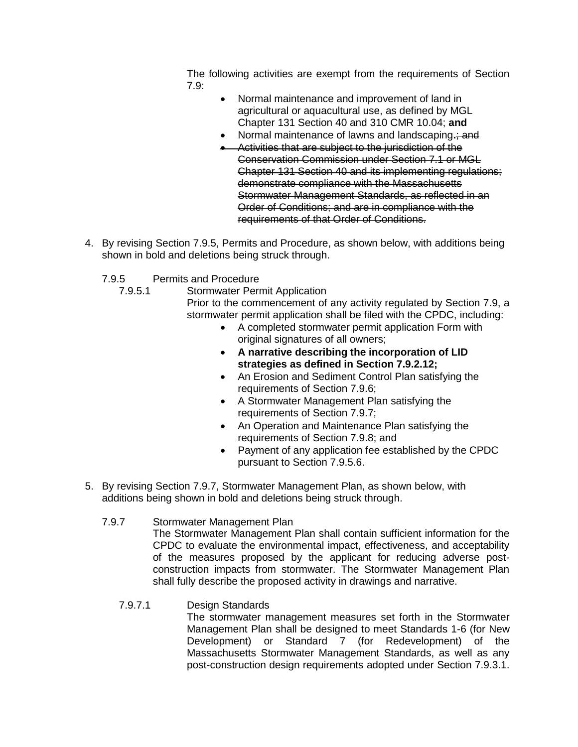The following activities are exempt from the requirements of Section 7.9:

- Normal maintenance and improvement of land in agricultural or aquacultural use, as defined by MGL Chapter 131 Section 40 and 310 CMR 10.04; **and**
- Normal maintenance of lawns and landscaping**.**; and
- Activities that are subject to the jurisdiction of the Conservation Commission under Section 7.1 or MGL Chapter 131 Section 40 and its implementing regulations; demonstrate compliance with the Massachusetts Stormwater Management Standards, as reflected in an Order of Conditions; and are in compliance with the requirements of that Order of Conditions.
- 4. By revising Section 7.9.5, Permits and Procedure, as shown below, with additions being shown in bold and deletions being struck through.
	- 7.9.5 Permits and Procedure
		- 7.9.5.1 Stormwater Permit Application

Prior to the commencement of any activity regulated by Section 7.9, a stormwater permit application shall be filed with the CPDC, including:

- A completed stormwater permit application Form with original signatures of all owners;
- **A narrative describing the incorporation of LID strategies as defined in Section 7.9.2.12;**
- An Erosion and Sediment Control Plan satisfying the requirements of Section 7.9.6;
- A Stormwater Management Plan satisfying the requirements of Section 7.9.7;
- An Operation and Maintenance Plan satisfying the requirements of Section 7.9.8; and
- Payment of any application fee established by the CPDC pursuant to Section 7.9.5.6.
- 5. By revising Section 7.9.7, Stormwater Management Plan, as shown below, with additions being shown in bold and deletions being struck through.

#### 7.9.7 Stormwater Management Plan

The Stormwater Management Plan shall contain sufficient information for the CPDC to evaluate the environmental impact, effectiveness, and acceptability of the measures proposed by the applicant for reducing adverse postconstruction impacts from stormwater. The Stormwater Management Plan shall fully describe the proposed activity in drawings and narrative.

7.9.7.1 Design Standards

The stormwater management measures set forth in the Stormwater Management Plan shall be designed to meet Standards 1-6 (for New Development) or Standard 7 (for Redevelopment) of the Massachusetts Stormwater Management Standards, as well as any post-construction design requirements adopted under Section 7.9.3.1.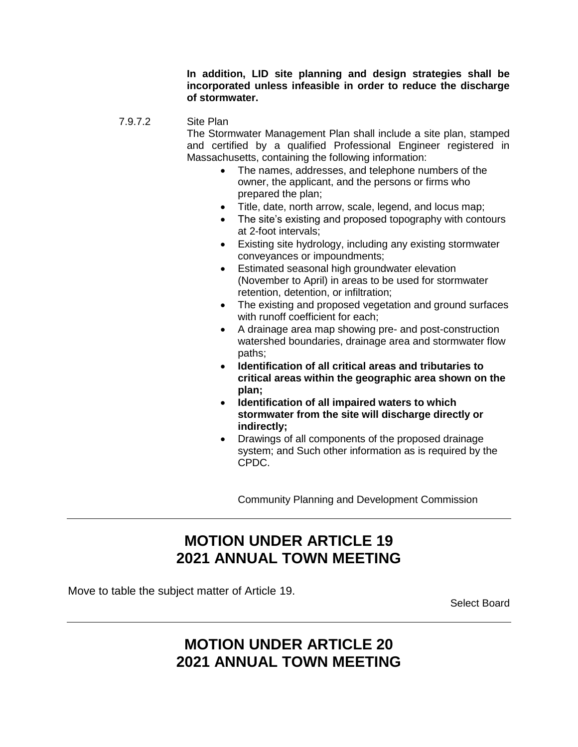**In addition, LID site planning and design strategies shall be incorporated unless infeasible in order to reduce the discharge of stormwater.**

#### 7.9.7.2 Site Plan

The Stormwater Management Plan shall include a site plan, stamped and certified by a qualified Professional Engineer registered in Massachusetts, containing the following information:

- The names, addresses, and telephone numbers of the owner, the applicant, and the persons or firms who prepared the plan;
- Title, date, north arrow, scale, legend, and locus map;
- The site's existing and proposed topography with contours at 2-foot intervals;
- Existing site hydrology, including any existing stormwater conveyances or impoundments;
- Estimated seasonal high groundwater elevation (November to April) in areas to be used for stormwater retention, detention, or infiltration;
- The existing and proposed vegetation and ground surfaces with runoff coefficient for each;
- A drainage area map showing pre- and post-construction watershed boundaries, drainage area and stormwater flow paths;
- **Identification of all critical areas and tributaries to critical areas within the geographic area shown on the plan;**
- **Identification of all impaired waters to which stormwater from the site will discharge directly or indirectly;**
- Drawings of all components of the proposed drainage system; and Such other information as is required by the CPDC.

Community Planning and Development Commission

# **MOTION UNDER ARTICLE 19 2021 ANNUAL TOWN MEETING**

Move to table the subject matter of Article 19.

Select Board

### **MOTION UNDER ARTICLE 20 2021 ANNUAL TOWN MEETING**